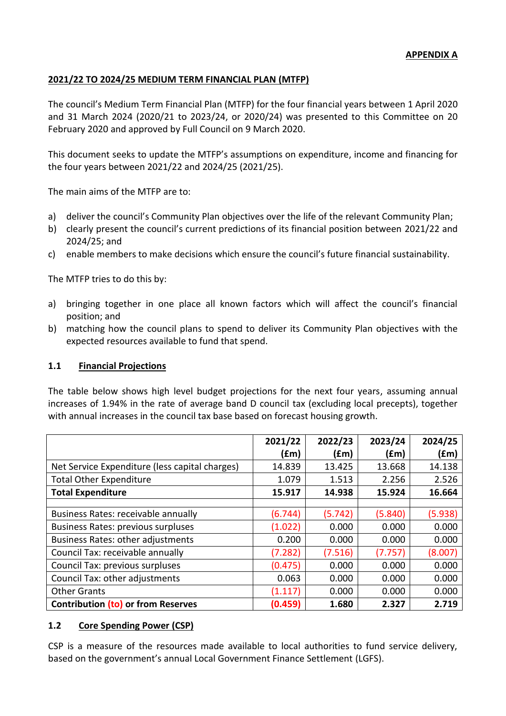### **APPENDIX A**

## **2021/22 TO 2024/25 MEDIUM TERM FINANCIAL PLAN (MTFP)**

The council's Medium Term Financial Plan (MTFP) for the four financial years between 1 April 2020 and 31 March 2024 (2020/21 to 2023/24, or 2020/24) was presented to this Committee on 20 February 2020 and approved by Full Council on 9 March 2020.

This document seeks to update the MTFP's assumptions on expenditure, income and financing for the four years between 2021/22 and 2024/25 (2021/25).

The main aims of the MTFP are to:

- a) deliver the council's Community Plan objectives over the life of the relevant Community Plan;
- b) clearly present the council's current predictions of its financial position between 2021/22 and 2024/25; and
- c) enable members to make decisions which ensure the council's future financial sustainability.

The MTFP tries to do this by:

- a) bringing together in one place all known factors which will affect the council's financial position; and
- b) matching how the council plans to spend to deliver its Community Plan objectives with the expected resources available to fund that spend.

### **1.1 Financial Projections**

The table below shows high level budget projections for the next four years, assuming annual increases of 1.94% in the rate of average band D council tax (excluding local precepts), together with annual increases in the council tax base based on forecast housing growth.

|                                                | 2021/22 | 2022/23 | 2023/24 | 2024/25 |
|------------------------------------------------|---------|---------|---------|---------|
|                                                | (fm)    | (£m)    | f(m)    | (fm)    |
| Net Service Expenditure (less capital charges) | 14.839  | 13.425  | 13.668  | 14.138  |
| <b>Total Other Expenditure</b>                 | 1.079   | 1.513   | 2.256   | 2.526   |
| <b>Total Expenditure</b>                       | 15.917  | 14.938  | 15.924  | 16.664  |
|                                                |         |         |         |         |
| Business Rates: receivable annually            | (6.744) | (5.742) | (5.840) | (5.938) |
| <b>Business Rates: previous surpluses</b>      | (1.022) | 0.000   | 0.000   | 0.000   |
| <b>Business Rates: other adjustments</b>       | 0.200   | 0.000   | 0.000   | 0.000   |
| Council Tax: receivable annually               | (7.282) | (7.516) | (7.757) | (8.007) |
| Council Tax: previous surpluses                | (0.475) | 0.000   | 0.000   | 0.000   |
| Council Tax: other adjustments                 | 0.063   | 0.000   | 0.000   | 0.000   |
| <b>Other Grants</b>                            | (1.117) | 0.000   | 0.000   | 0.000   |
| <b>Contribution (to) or from Reserves</b>      | (0.459) | 1.680   | 2.327   | 2.719   |

### **1.2 Core Spending Power (CSP)**

CSP is a measure of the resources made available to local authorities to fund service delivery, based on the government's annual Local Government Finance Settlement (LGFS).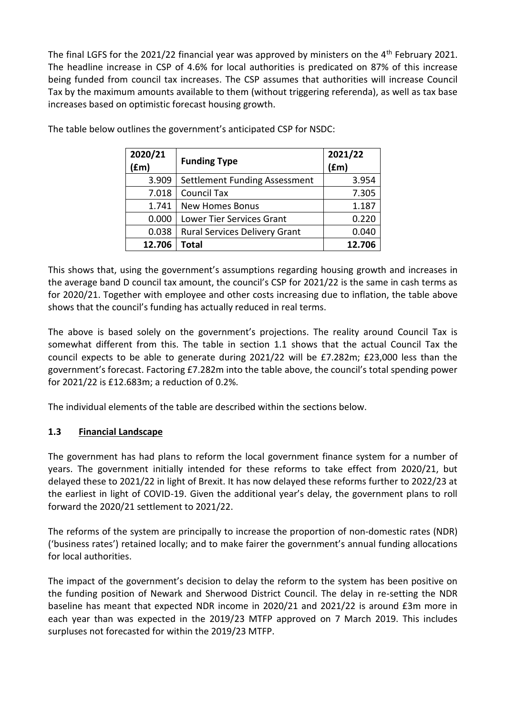The final LGFS for the 2021/22 financial year was approved by ministers on the 4<sup>th</sup> February 2021. The headline increase in CSP of 4.6% for local authorities is predicated on 87% of this increase being funded from council tax increases. The CSP assumes that authorities will increase Council Tax by the maximum amounts available to them (without triggering referenda), as well as tax base increases based on optimistic forecast housing growth.

| 2020/21<br>(fm) | <b>Funding Type</b>                  | 2021/22<br>$(\text{fm})$ |
|-----------------|--------------------------------------|--------------------------|
| 3.909           | Settlement Funding Assessment        | 3.954                    |
| 7.018           | <b>Council Tax</b>                   | 7.305                    |
| 1.741           | <b>New Homes Bonus</b>               | 1.187                    |
| 0.000           | <b>Lower Tier Services Grant</b>     | 0.220                    |
| 0.038           | <b>Rural Services Delivery Grant</b> | 0.040                    |
| 12.706          | Total                                | 12.706                   |

The table below outlines the government's anticipated CSP for NSDC:

This shows that, using the government's assumptions regarding housing growth and increases in the average band D council tax amount, the council's CSP for 2021/22 is the same in cash terms as for 2020/21. Together with employee and other costs increasing due to inflation, the table above shows that the council's funding has actually reduced in real terms.

The above is based solely on the government's projections. The reality around Council Tax is somewhat different from this. The table in section 1.1 shows that the actual Council Tax the council expects to be able to generate during 2021/22 will be £7.282m; £23,000 less than the government's forecast. Factoring £7.282m into the table above, the council's total spending power for 2021/22 is £12.683m; a reduction of 0.2%.

The individual elements of the table are described within the sections below.

# **1.3 Financial Landscape**

The government has had plans to reform the local government finance system for a number of years. The government initially intended for these reforms to take effect from 2020/21, but delayed these to 2021/22 in light of Brexit. It has now delayed these reforms further to 2022/23 at the earliest in light of COVID-19. Given the additional year's delay, the government plans to roll forward the 2020/21 settlement to 2021/22.

The reforms of the system are principally to increase the proportion of non-domestic rates (NDR) ('business rates') retained locally; and to make fairer the government's annual funding allocations for local authorities.

The impact of the government's decision to delay the reform to the system has been positive on the funding position of Newark and Sherwood District Council. The delay in re-setting the NDR baseline has meant that expected NDR income in 2020/21 and 2021/22 is around £3m more in each year than was expected in the 2019/23 MTFP approved on 7 March 2019. This includes surpluses not forecasted for within the 2019/23 MTFP.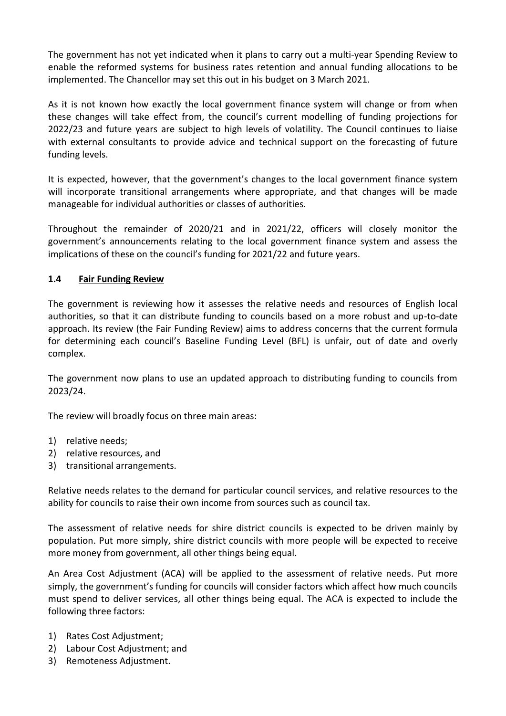The government has not yet indicated when it plans to carry out a multi-year Spending Review to enable the reformed systems for business rates retention and annual funding allocations to be implemented. The Chancellor may set this out in his budget on 3 March 2021.

As it is not known how exactly the local government finance system will change or from when these changes will take effect from, the council's current modelling of funding projections for 2022/23 and future years are subject to high levels of volatility. The Council continues to liaise with external consultants to provide advice and technical support on the forecasting of future funding levels.

It is expected, however, that the government's changes to the local government finance system will incorporate transitional arrangements where appropriate, and that changes will be made manageable for individual authorities or classes of authorities.

Throughout the remainder of 2020/21 and in 2021/22, officers will closely monitor the government's announcements relating to the local government finance system and assess the implications of these on the council's funding for 2021/22 and future years.

# **1.4 Fair Funding Review**

The government is reviewing how it assesses the relative needs and resources of English local authorities, so that it can distribute funding to councils based on a more robust and up-to-date approach. Its review (the Fair Funding Review) aims to address concerns that the current formula for determining each council's Baseline Funding Level (BFL) is unfair, out of date and overly complex.

The government now plans to use an updated approach to distributing funding to councils from 2023/24.

The review will broadly focus on three main areas:

- 1) relative needs;
- 2) relative resources, and
- 3) transitional arrangements.

Relative needs relates to the demand for particular council services, and relative resources to the ability for councils to raise their own income from sources such as council tax.

The assessment of relative needs for shire district councils is expected to be driven mainly by population. Put more simply, shire district councils with more people will be expected to receive more money from government, all other things being equal.

An Area Cost Adjustment (ACA) will be applied to the assessment of relative needs. Put more simply, the government's funding for councils will consider factors which affect how much councils must spend to deliver services, all other things being equal. The ACA is expected to include the following three factors:

- 1) Rates Cost Adjustment;
- 2) Labour Cost Adjustment; and
- 3) Remoteness Adjustment.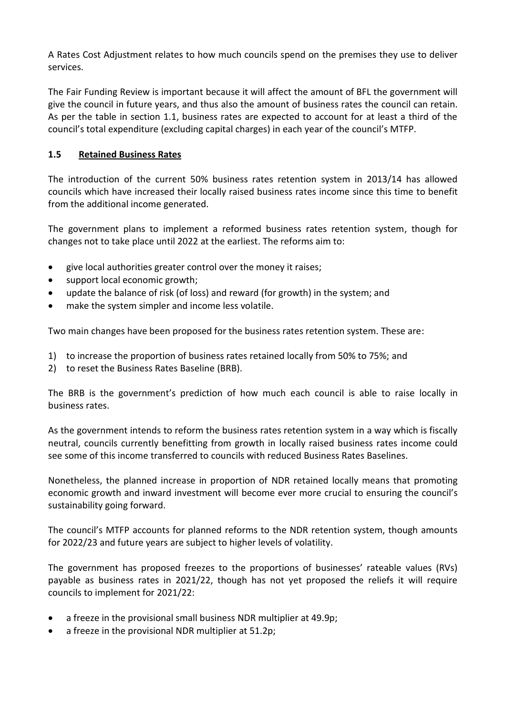A Rates Cost Adjustment relates to how much councils spend on the premises they use to deliver services.

The Fair Funding Review is important because it will affect the amount of BFL the government will give the council in future years, and thus also the amount of business rates the council can retain. As per the table in section 1.1, business rates are expected to account for at least a third of the council's total expenditure (excluding capital charges) in each year of the council's MTFP.

# **1.5 Retained Business Rates**

The introduction of the current 50% business rates retention system in 2013/14 has allowed councils which have increased their locally raised business rates income since this time to benefit from the additional income generated.

The government plans to implement a reformed business rates retention system, though for changes not to take place until 2022 at the earliest. The reforms aim to:

- give local authorities greater control over the money it raises;
- support local economic growth;
- update the balance of risk (of loss) and reward (for growth) in the system; and
- make the system simpler and income less volatile.

Two main changes have been proposed for the business rates retention system. These are:

- 1) to increase the proportion of business rates retained locally from 50% to 75%; and
- 2) to reset the Business Rates Baseline (BRB).

The BRB is the government's prediction of how much each council is able to raise locally in business rates.

As the government intends to reform the business rates retention system in a way which is fiscally neutral, councils currently benefitting from growth in locally raised business rates income could see some of this income transferred to councils with reduced Business Rates Baselines.

Nonetheless, the planned increase in proportion of NDR retained locally means that promoting economic growth and inward investment will become ever more crucial to ensuring the council's sustainability going forward.

The council's MTFP accounts for planned reforms to the NDR retention system, though amounts for 2022/23 and future years are subject to higher levels of volatility.

The government has proposed freezes to the proportions of businesses' rateable values (RVs) payable as business rates in 2021/22, though has not yet proposed the reliefs it will require councils to implement for 2021/22:

- a freeze in the provisional small business NDR multiplier at 49.9p;
- a freeze in the provisional NDR multiplier at 51.2p;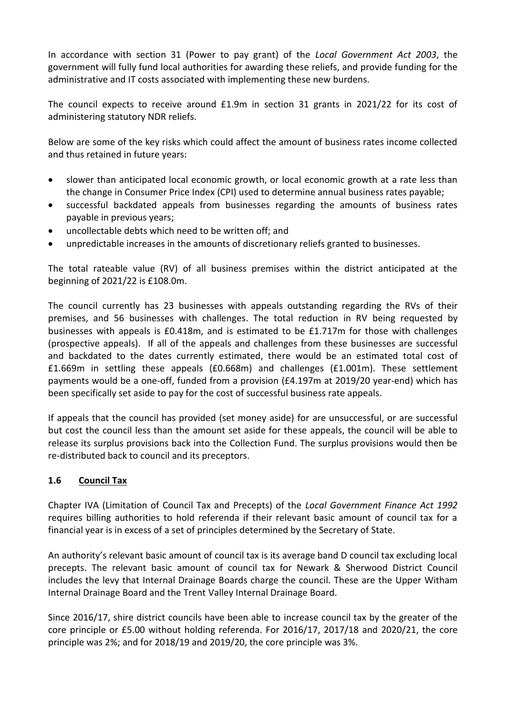In accordance with section 31 (Power to pay grant) of the *Local Government Act 2003*, the government will fully fund local authorities for awarding these reliefs, and provide funding for the administrative and IT costs associated with implementing these new burdens.

The council expects to receive around £1.9m in section 31 grants in 2021/22 for its cost of administering statutory NDR reliefs.

Below are some of the key risks which could affect the amount of business rates income collected and thus retained in future years:

- slower than anticipated local economic growth, or local economic growth at a rate less than the change in Consumer Price Index (CPI) used to determine annual business rates payable;
- successful backdated appeals from businesses regarding the amounts of business rates payable in previous years;
- uncollectable debts which need to be written off; and
- unpredictable increases in the amounts of discretionary reliefs granted to businesses.

The total rateable value (RV) of all business premises within the district anticipated at the beginning of 2021/22 is £108.0m.

The council currently has 23 businesses with appeals outstanding regarding the RVs of their premises, and 56 businesses with challenges. The total reduction in RV being requested by businesses with appeals is £0.418m, and is estimated to be £1.717m for those with challenges (prospective appeals). If all of the appeals and challenges from these businesses are successful and backdated to the dates currently estimated, there would be an estimated total cost of £1.669m in settling these appeals (£0.668m) and challenges (£1.001m). These settlement payments would be a one-off, funded from a provision (£4.197m at 2019/20 year-end) which has been specifically set aside to pay for the cost of successful business rate appeals.

If appeals that the council has provided (set money aside) for are unsuccessful, or are successful but cost the council less than the amount set aside for these appeals, the council will be able to release its surplus provisions back into the Collection Fund. The surplus provisions would then be re-distributed back to council and its preceptors.

# **1.6 Council Tax**

Chapter IVA (Limitation of Council Tax and Precepts) of the *Local Government Finance Act 1992* requires billing authorities to hold referenda if their relevant basic amount of council tax for a financial year is in excess of a set of principles determined by the Secretary of State.

An authority's relevant basic amount of council tax is its average band D council tax excluding local precepts. The relevant basic amount of council tax for Newark & Sherwood District Council includes the levy that Internal Drainage Boards charge the council. These are the Upper Witham Internal Drainage Board and the Trent Valley Internal Drainage Board.

Since 2016/17, shire district councils have been able to increase council tax by the greater of the core principle or £5.00 without holding referenda. For 2016/17, 2017/18 and 2020/21, the core principle was 2%; and for 2018/19 and 2019/20, the core principle was 3%.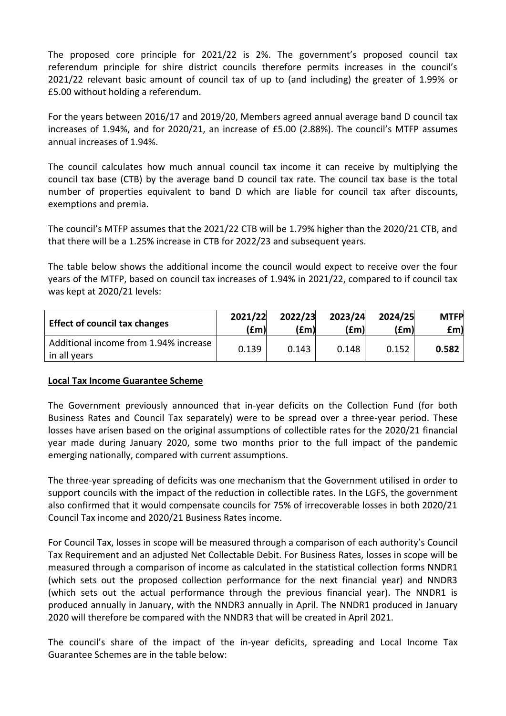The proposed core principle for 2021/22 is 2%. The government's proposed council tax referendum principle for shire district councils therefore permits increases in the council's 2021/22 relevant basic amount of council tax of up to (and including) the greater of 1.99% or £5.00 without holding a referendum.

For the years between 2016/17 and 2019/20, Members agreed annual average band D council tax increases of 1.94%, and for 2020/21, an increase of £5.00 (2.88%). The council's MTFP assumes annual increases of 1.94%.

The council calculates how much annual council tax income it can receive by multiplying the council tax base (CTB) by the average band D council tax rate. The council tax base is the total number of properties equivalent to band D which are liable for council tax after discounts, exemptions and premia.

The council's MTFP assumes that the 2021/22 CTB will be 1.79% higher than the 2020/21 CTB, and that there will be a 1.25% increase in CTB for 2022/23 and subsequent years.

The table below shows the additional income the council would expect to receive over the four years of the MTFP, based on council tax increases of 1.94% in 2021/22, compared to if council tax was kept at 2020/21 levels:

| <b>Effect of council tax changes</b>                  | 2021/22 | 2022/23 | 2023/24 | 2024/25 | <b>MTFP</b> |
|-------------------------------------------------------|---------|---------|---------|---------|-------------|
|                                                       | (£m)    | (£m)    | (£m)    | (£m)    | £m)         |
| Additional income from 1.94% increase<br>in all years | 0.139   | 0.143   | 0.148   | 0.152   | 0.582       |

### **Local Tax Income Guarantee Scheme**

The Government previously announced that in-year deficits on the Collection Fund (for both Business Rates and Council Tax separately) were to be spread over a three-year period. These losses have arisen based on the original assumptions of collectible rates for the 2020/21 financial year made during January 2020, some two months prior to the full impact of the pandemic emerging nationally, compared with current assumptions.

The three-year spreading of deficits was one mechanism that the Government utilised in order to support councils with the impact of the reduction in collectible rates. In the LGFS, the government also confirmed that it would compensate councils for 75% of irrecoverable losses in both 2020/21 Council Tax income and 2020/21 Business Rates income.

For Council Tax, losses in scope will be measured through a comparison of each authority's Council Tax Requirement and an adjusted Net Collectable Debit. For Business Rates, losses in scope will be measured through a comparison of income as calculated in the statistical collection forms NNDR1 (which sets out the proposed collection performance for the next financial year) and NNDR3 (which sets out the actual performance through the previous financial year). The NNDR1 is produced annually in January, with the NNDR3 annually in April. The NNDR1 produced in January 2020 will therefore be compared with the NNDR3 that will be created in April 2021.

The council's share of the impact of the in-year deficits, spreading and Local Income Tax Guarantee Schemes are in the table below: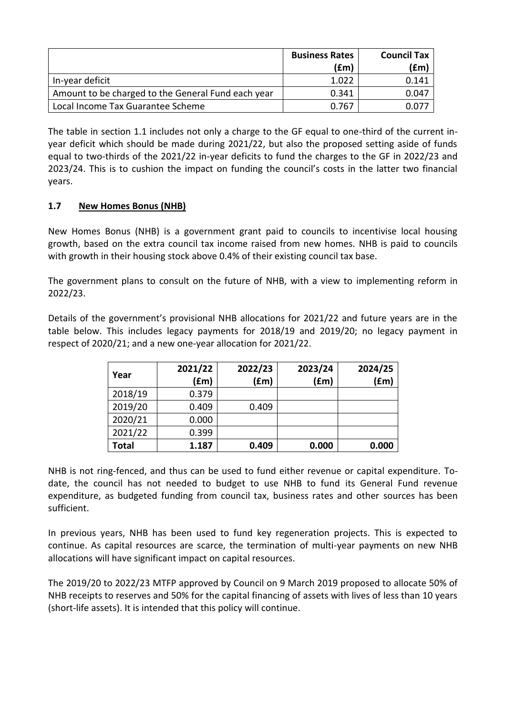|                                                    | <b>Business Rates</b> | <b>Council Tax</b> |
|----------------------------------------------------|-----------------------|--------------------|
|                                                    | (£m)                  | (£mˈ               |
| In-year deficit                                    | 1.022                 | 0.141              |
| Amount to be charged to the General Fund each year | 0.341                 | 0.047              |
| Local Income Tax Guarantee Scheme                  | 0.767                 |                    |

The table in section 1.1 includes not only a charge to the GF equal to one-third of the current inyear deficit which should be made during 2021/22, but also the proposed setting aside of funds equal to two-thirds of the 2021/22 in-year deficits to fund the charges to the GF in 2022/23 and 2023/24. This is to cushion the impact on funding the council's costs in the latter two financial years.

# **1.7 New Homes Bonus (NHB)**

New Homes Bonus (NHB) is a government grant paid to councils to incentivise local housing growth, based on the extra council tax income raised from new homes. NHB is paid to councils with growth in their housing stock above 0.4% of their existing council tax base.

The government plans to consult on the future of NHB, with a view to implementing reform in 2022/23.

Details of the government's provisional NHB allocations for 2021/22 and future years are in the table below. This includes legacy payments for 2018/19 and 2019/20; no legacy payment in respect of 2020/21; and a new one-year allocation for 2021/22.

|         | 2021/22 | 2022/23 | 2023/24 | 2024/25 |
|---------|---------|---------|---------|---------|
| Year    | (fm)    | (fm)    | (fm)    | (fm)    |
| 2018/19 | 0.379   |         |         |         |
| 2019/20 | 0.409   | 0.409   |         |         |
| 2020/21 | 0.000   |         |         |         |
| 2021/22 | 0.399   |         |         |         |
| Total   | 1.187   | 0.409   | 0.000   | 0.000   |

NHB is not ring-fenced, and thus can be used to fund either revenue or capital expenditure. Todate, the council has not needed to budget to use NHB to fund its General Fund revenue expenditure, as budgeted funding from council tax, business rates and other sources has been sufficient.

In previous years, NHB has been used to fund key regeneration projects. This is expected to continue. As capital resources are scarce, the termination of multi-year payments on new NHB allocations will have significant impact on capital resources.

The 2019/20 to 2022/23 MTFP approved by Council on 9 March 2019 proposed to allocate 50% of NHB receipts to reserves and 50% for the capital financing of assets with lives of less than 10 years (short-life assets). It is intended that this policy will continue.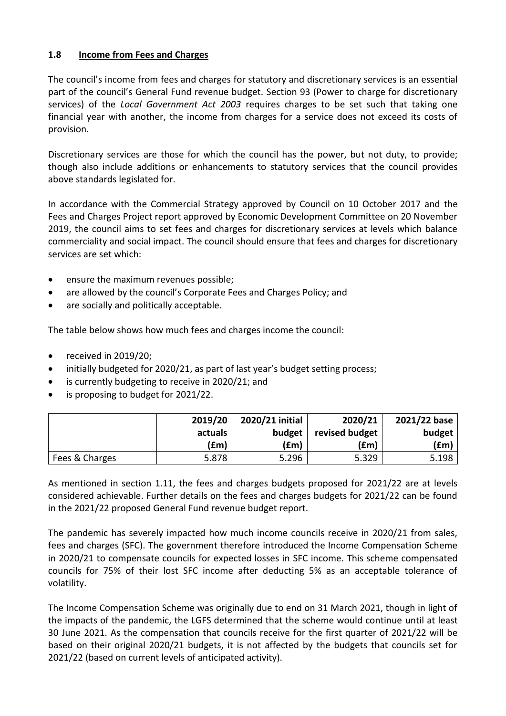## **1.8 Income from Fees and Charges**

The council's income from fees and charges for statutory and discretionary services is an essential part of the council's General Fund revenue budget. Section 93 (Power to charge for discretionary services) of the *Local Government Act 2003* requires charges to be set such that taking one financial year with another, the income from charges for a service does not exceed its costs of provision.

Discretionary services are those for which the council has the power, but not duty, to provide; though also include additions or enhancements to statutory services that the council provides above standards legislated for.

In accordance with the Commercial Strategy approved by Council on 10 October 2017 and the Fees and Charges Project report approved by Economic Development Committee on 20 November 2019, the council aims to set fees and charges for discretionary services at levels which balance commerciality and social impact. The council should ensure that fees and charges for discretionary services are set which:

- ensure the maximum revenues possible;
- are allowed by the council's Corporate Fees and Charges Policy; and
- are socially and politically acceptable.

The table below shows how much fees and charges income the council:

- $\bullet$  received in 2019/20;
- initially budgeted for 2020/21, as part of last year's budget setting process;
- is currently budgeting to receive in 2020/21; and
- is proposing to budget for 2021/22.

|                | 2019/20 | 2020/21 initial | 2020/21        | 2021/22 base |
|----------------|---------|-----------------|----------------|--------------|
|                | actuals | budget          | revised budget | budget       |
|                | (£m)    | (£m)            | (£m)           | (£m)         |
| Fees & Charges | 5.878   | 5.296           | 5.329          | 5.198        |

As mentioned in section 1.11, the fees and charges budgets proposed for 2021/22 are at levels considered achievable. Further details on the fees and charges budgets for 2021/22 can be found in the 2021/22 proposed General Fund revenue budget report.

The pandemic has severely impacted how much income councils receive in 2020/21 from sales, fees and charges (SFC). The government therefore introduced the Income Compensation Scheme in 2020/21 to compensate councils for expected losses in SFC income. This scheme compensated councils for 75% of their lost SFC income after deducting 5% as an acceptable tolerance of volatility.

The Income Compensation Scheme was originally due to end on 31 March 2021, though in light of the impacts of the pandemic, the LGFS determined that the scheme would continue until at least 30 June 2021. As the compensation that councils receive for the first quarter of 2021/22 will be based on their original 2020/21 budgets, it is not affected by the budgets that councils set for 2021/22 (based on current levels of anticipated activity).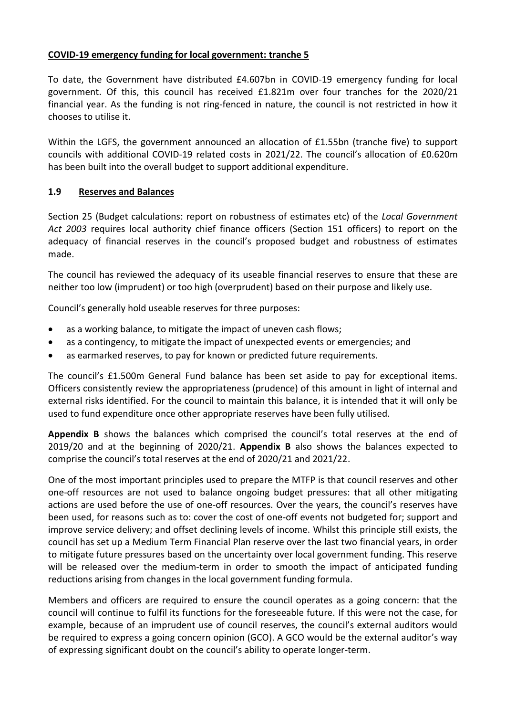# **COVID-19 emergency funding for local government: tranche 5**

To date, the Government have distributed £4.607bn in COVID-19 emergency funding for local government. Of this, this council has received £1.821m over four tranches for the 2020/21 financial year. As the funding is not ring-fenced in nature, the council is not restricted in how it chooses to utilise it.

Within the LGFS, the government announced an allocation of £1.55bn (tranche five) to support councils with additional COVID-19 related costs in 2021/22. The council's allocation of £0.620m has been built into the overall budget to support additional expenditure.

## **1.9 Reserves and Balances**

Section 25 (Budget calculations: report on robustness of estimates etc) of the *Local Government Act 2003* requires local authority chief finance officers (Section 151 officers) to report on the adequacy of financial reserves in the council's proposed budget and robustness of estimates made.

The council has reviewed the adequacy of its useable financial reserves to ensure that these are neither too low (imprudent) or too high (overprudent) based on their purpose and likely use.

Council's generally hold useable reserves for three purposes:

- as a working balance, to mitigate the impact of uneven cash flows;
- as a contingency, to mitigate the impact of unexpected events or emergencies; and
- as earmarked reserves, to pay for known or predicted future requirements.

The council's £1.500m General Fund balance has been set aside to pay for exceptional items. Officers consistently review the appropriateness (prudence) of this amount in light of internal and external risks identified. For the council to maintain this balance, it is intended that it will only be used to fund expenditure once other appropriate reserves have been fully utilised.

**Appendix B** shows the balances which comprised the council's total reserves at the end of 2019/20 and at the beginning of 2020/21. **Appendix B** also shows the balances expected to comprise the council's total reserves at the end of 2020/21 and 2021/22.

One of the most important principles used to prepare the MTFP is that council reserves and other one-off resources are not used to balance ongoing budget pressures: that all other mitigating actions are used before the use of one-off resources. Over the years, the council's reserves have been used, for reasons such as to: cover the cost of one-off events not budgeted for; support and improve service delivery; and offset declining levels of income. Whilst this principle still exists, the council has set up a Medium Term Financial Plan reserve over the last two financial years, in order to mitigate future pressures based on the uncertainty over local government funding. This reserve will be released over the medium-term in order to smooth the impact of anticipated funding reductions arising from changes in the local government funding formula.

Members and officers are required to ensure the council operates as a going concern: that the council will continue to fulfil its functions for the foreseeable future. If this were not the case, for example, because of an imprudent use of council reserves, the council's external auditors would be required to express a going concern opinion (GCO). A GCO would be the external auditor's way of expressing significant doubt on the council's ability to operate longer-term.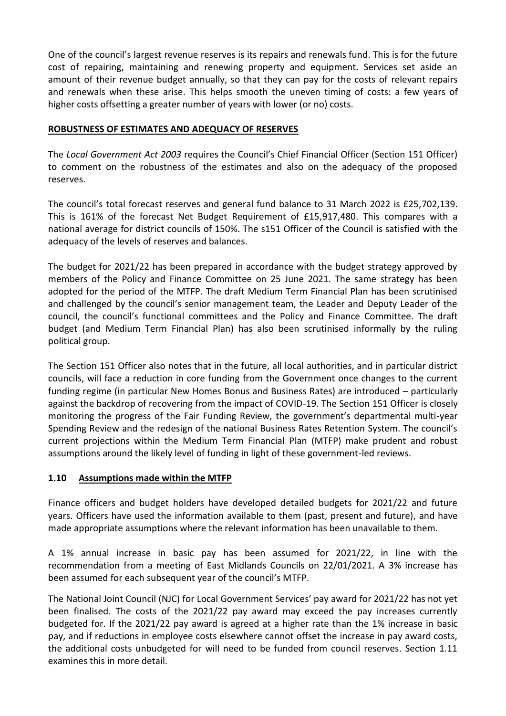One of the council's largest revenue reserves is its repairs and renewals fund. This is for the future cost of repairing, maintaining and renewing property and equipment. Services set aside an amount of their revenue budget annually, so that they can pay for the costs of relevant repairs and renewals when these arise. This helps smooth the uneven timing of costs: a few years of higher costs offsetting a greater number of years with lower (or no) costs.

# **ROBUSTNESS OF ESTIMATES AND ADEQUACY OF RESERVES**

The *Local Government Act 2003* requires the Council's Chief Financial Officer (Section 151 Officer) to comment on the robustness of the estimates and also on the adequacy of the proposed reserves.

The council's total forecast reserves and general fund balance to 31 March 2022 is £25,702,139. This is 161% of the forecast Net Budget Requirement of £15,917,480. This compares with a national average for district councils of 150%. The s151 Officer of the Council is satisfied with the adequacy of the levels of reserves and balances.

The budget for 2021/22 has been prepared in accordance with the budget strategy approved by members of the Policy and Finance Committee on 25 June 2021. The same strategy has been adopted for the period of the MTFP. The draft Medium Term Financial Plan has been scrutinised and challenged by the council's senior management team, the Leader and Deputy Leader of the council, the council's functional committees and the Policy and Finance Committee. The draft budget (and Medium Term Financial Plan) has also been scrutinised informally by the ruling political group.

The Section 151 Officer also notes that in the future, all local authorities, and in particular district councils, will face a reduction in core funding from the Government once changes to the current funding regime (in particular New Homes Bonus and Business Rates) are introduced – particularly against the backdrop of recovering from the impact of COVID-19. The Section 151 Officer is closely monitoring the progress of the Fair Funding Review, the government's departmental multi-year Spending Review and the redesign of the national Business Rates Retention System. The council's current projections within the Medium Term Financial Plan (MTFP) make prudent and robust assumptions around the likely level of funding in light of these government-led reviews.

### **1.10 Assumptions made within the MTFP**

Finance officers and budget holders have developed detailed budgets for 2021/22 and future years. Officers have used the information available to them (past, present and future), and have made appropriate assumptions where the relevant information has been unavailable to them.

A 1% annual increase in basic pay has been assumed for 2021/22, in line with the recommendation from a meeting of East Midlands Councils on 22/01/2021. A 3% increase has been assumed for each subsequent year of the council's MTFP.

The National Joint Council (NJC) for Local Government Services' pay award for 2021/22 has not yet been finalised. The costs of the 2021/22 pay award may exceed the pay increases currently budgeted for. If the 2021/22 pay award is agreed at a higher rate than the 1% increase in basic pay, and if reductions in employee costs elsewhere cannot offset the increase in pay award costs, the additional costs unbudgeted for will need to be funded from council reserves. Section 1.11 examines this in more detail.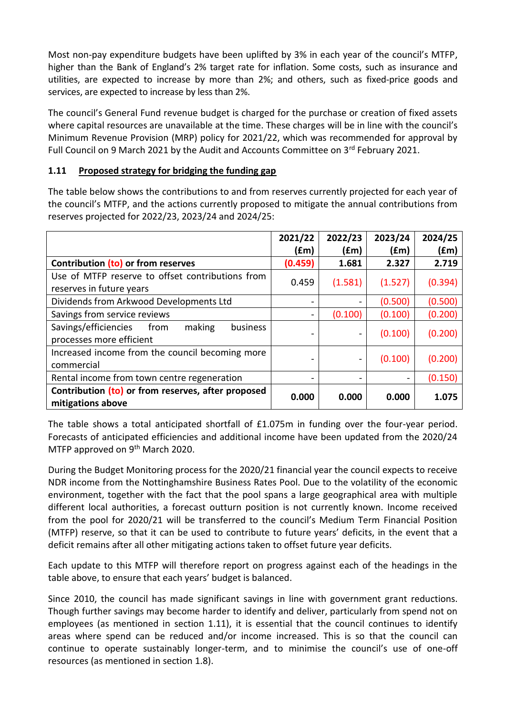Most non-pay expenditure budgets have been uplifted by 3% in each year of the council's MTFP, higher than the Bank of England's 2% target rate for inflation. Some costs, such as insurance and utilities, are expected to increase by more than 2%; and others, such as fixed-price goods and services, are expected to increase by less than 2%.

The council's General Fund revenue budget is charged for the purchase or creation of fixed assets where capital resources are unavailable at the time. These charges will be in line with the council's Minimum Revenue Provision (MRP) policy for 2021/22, which was recommended for approval by Full Council on 9 March 2021 by the Audit and Accounts Committee on 3rd February 2021.

# **1.11 Proposed strategy for bridging the funding gap**

The table below shows the contributions to and from reserves currently projected for each year of the council's MTFP, and the actions currently proposed to mitigate the annual contributions from reserves projected for 2022/23, 2023/24 and 2024/25:

|                                                                                | 2021/22<br>(£m) | 2022/23<br>(fm)              | 2023/24<br>f(m) | 2024/25<br>(£m) |
|--------------------------------------------------------------------------------|-----------------|------------------------------|-----------------|-----------------|
| Contribution (to) or from reserves                                             | (0.459)         | 1.681                        | 2.327           | 2.719           |
| Use of MTFP reserve to offset contributions from                               | 0.459           |                              | (1.527)         |                 |
| reserves in future years                                                       |                 | (1.581)                      |                 | (0.394)         |
| Dividends from Arkwood Developments Ltd                                        |                 | $\overline{\phantom{a}}$     | (0.500)         | (0.500)         |
| Savings from service reviews                                                   |                 | (0.100)                      | (0.100)         | (0.200)         |
| Savings/efficiencies<br>from<br>making<br>business<br>processes more efficient |                 | $\blacksquare$               | (0.100)         | (0.200)         |
| Increased income from the council becoming more<br>commercial                  |                 | $\qquad \qquad \blacksquare$ | (0.100)         | (0.200)         |
| Rental income from town centre regeneration                                    |                 |                              |                 | (0.150)         |
| Contribution (to) or from reserves, after proposed<br>mitigations above        | 0.000           | 0.000                        | 0.000           | 1.075           |

The table shows a total anticipated shortfall of £1.075m in funding over the four-year period. Forecasts of anticipated efficiencies and additional income have been updated from the 2020/24 MTFP approved on 9<sup>th</sup> March 2020.

During the Budget Monitoring process for the 2020/21 financial year the council expects to receive NDR income from the Nottinghamshire Business Rates Pool. Due to the volatility of the economic environment, together with the fact that the pool spans a large geographical area with multiple different local authorities, a forecast outturn position is not currently known. Income received from the pool for 2020/21 will be transferred to the council's Medium Term Financial Position (MTFP) reserve, so that it can be used to contribute to future years' deficits, in the event that a deficit remains after all other mitigating actions taken to offset future year deficits.

Each update to this MTFP will therefore report on progress against each of the headings in the table above, to ensure that each years' budget is balanced.

Since 2010, the council has made significant savings in line with government grant reductions. Though further savings may become harder to identify and deliver, particularly from spend not on employees (as mentioned in section 1.11), it is essential that the council continues to identify areas where spend can be reduced and/or income increased. This is so that the council can continue to operate sustainably longer-term, and to minimise the council's use of one-off resources (as mentioned in section 1.8).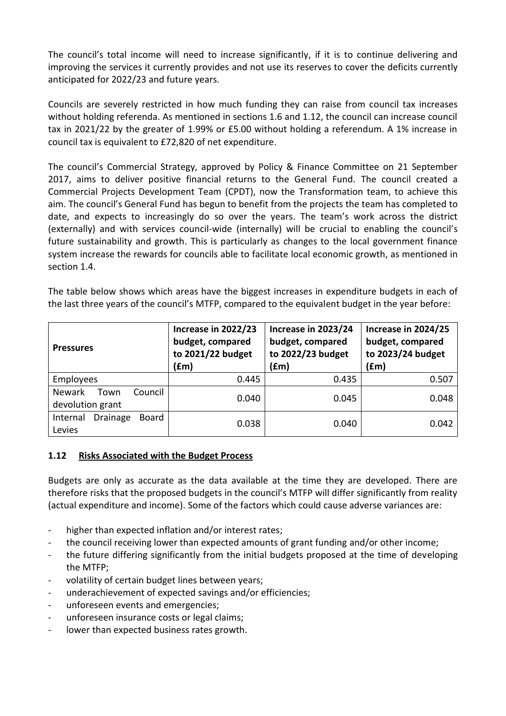The council's total income will need to increase significantly, if it is to continue delivering and improving the services it currently provides and not use its reserves to cover the deficits currently anticipated for 2022/23 and future years.

Councils are severely restricted in how much funding they can raise from council tax increases without holding referenda. As mentioned in sections 1.6 and 1.12, the council can increase council tax in 2021/22 by the greater of 1.99% or £5.00 without holding a referendum. A 1% increase in council tax is equivalent to £72,820 of net expenditure.

The council's Commercial Strategy, approved by Policy & Finance Committee on 21 September 2017, aims to deliver positive financial returns to the General Fund. The council created a Commercial Projects Development Team (CPDT), now the Transformation team, to achieve this aim. The council's General Fund has begun to benefit from the projects the team has completed to date, and expects to increasingly do so over the years. The team's work across the district (externally) and with services council-wide (internally) will be crucial to enabling the council's future sustainability and growth. This is particularly as changes to the local government finance system increase the rewards for councils able to facilitate local economic growth, as mentioned in section 1.4.

The table below shows which areas have the biggest increases in expenditure budgets in each of the last three years of the council's MTFP, compared to the equivalent budget in the year before:

| <b>Pressures</b>                                     | Increase in 2022/23<br>budget, compared<br>to 2021/22 budget<br>(fm) | Increase in 2023/24<br>budget, compared<br>to 2022/23 budget<br>(£m) | Increase in 2024/25<br>budget, compared<br>to 2023/24 budget<br>(£m) |  |
|------------------------------------------------------|----------------------------------------------------------------------|----------------------------------------------------------------------|----------------------------------------------------------------------|--|
| Employees                                            | 0.445                                                                | 0.435                                                                | 0.507                                                                |  |
| <b>Newark</b><br>Council<br>Town<br>devolution grant | 0.040                                                                | 0.045                                                                | 0.048                                                                |  |
| <b>Drainage</b><br>Board<br>Internal<br>Levies       | 0.038                                                                | 0.040                                                                | 0.042                                                                |  |

### **1.12 Risks Associated with the Budget Process**

Budgets are only as accurate as the data available at the time they are developed. There are therefore risks that the proposed budgets in the council's MTFP will differ significantly from reality (actual expenditure and income). Some of the factors which could cause adverse variances are:

- higher than expected inflation and/or interest rates;
- the council receiving lower than expected amounts of grant funding and/or other income;
- the future differing significantly from the initial budgets proposed at the time of developing the MTFP;
- volatility of certain budget lines between years;
- underachievement of expected savings and/or efficiencies;
- unforeseen events and emergencies;
- unforeseen insurance costs or legal claims;
- lower than expected business rates growth.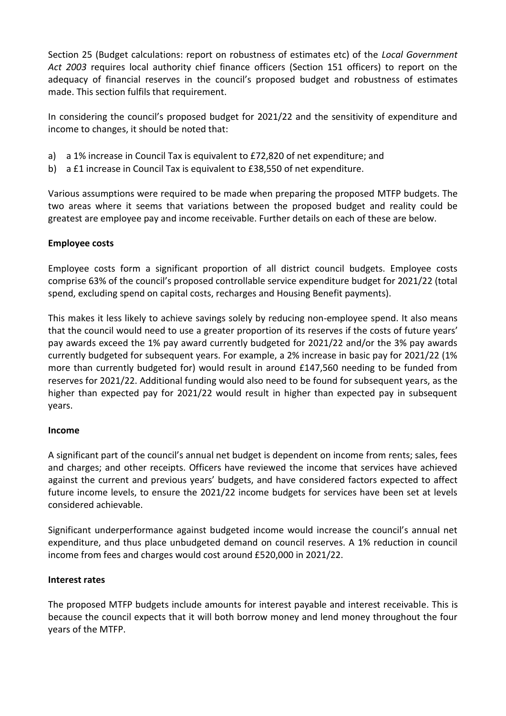Section 25 (Budget calculations: report on robustness of estimates etc) of the *Local Government Act 2003* requires local authority chief finance officers (Section 151 officers) to report on the adequacy of financial reserves in the council's proposed budget and robustness of estimates made. This section fulfils that requirement.

In considering the council's proposed budget for 2021/22 and the sensitivity of expenditure and income to changes, it should be noted that:

- a) a 1% increase in Council Tax is equivalent to £72,820 of net expenditure; and
- b) a £1 increase in Council Tax is equivalent to £38,550 of net expenditure.

Various assumptions were required to be made when preparing the proposed MTFP budgets. The two areas where it seems that variations between the proposed budget and reality could be greatest are employee pay and income receivable. Further details on each of these are below.

# **Employee costs**

Employee costs form a significant proportion of all district council budgets. Employee costs comprise 63% of the council's proposed controllable service expenditure budget for 2021/22 (total spend, excluding spend on capital costs, recharges and Housing Benefit payments).

This makes it less likely to achieve savings solely by reducing non-employee spend. It also means that the council would need to use a greater proportion of its reserves if the costs of future years' pay awards exceed the 1% pay award currently budgeted for 2021/22 and/or the 3% pay awards currently budgeted for subsequent years. For example, a 2% increase in basic pay for 2021/22 (1% more than currently budgeted for) would result in around £147,560 needing to be funded from reserves for 2021/22. Additional funding would also need to be found for subsequent years, as the higher than expected pay for 2021/22 would result in higher than expected pay in subsequent years.

### **Income**

A significant part of the council's annual net budget is dependent on income from rents; sales, fees and charges; and other receipts. Officers have reviewed the income that services have achieved against the current and previous years' budgets, and have considered factors expected to affect future income levels, to ensure the 2021/22 income budgets for services have been set at levels considered achievable.

Significant underperformance against budgeted income would increase the council's annual net expenditure, and thus place unbudgeted demand on council reserves. A 1% reduction in council income from fees and charges would cost around £520,000 in 2021/22.

# **Interest rates**

The proposed MTFP budgets include amounts for interest payable and interest receivable. This is because the council expects that it will both borrow money and lend money throughout the four years of the MTFP.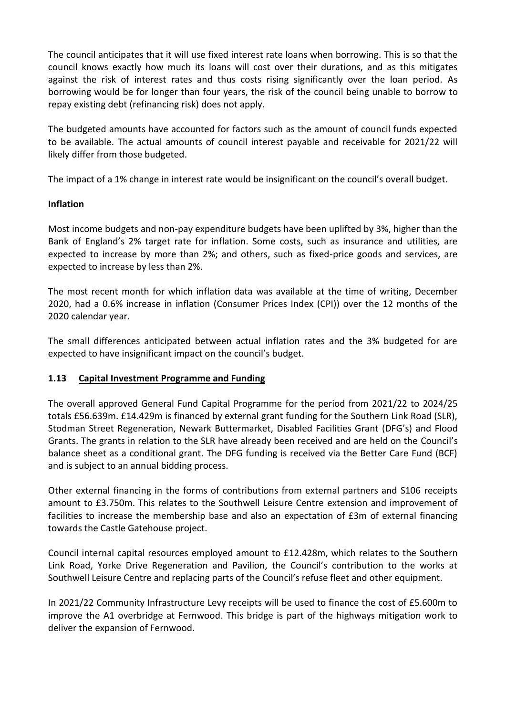The council anticipates that it will use fixed interest rate loans when borrowing. This is so that the council knows exactly how much its loans will cost over their durations, and as this mitigates against the risk of interest rates and thus costs rising significantly over the loan period. As borrowing would be for longer than four years, the risk of the council being unable to borrow to repay existing debt (refinancing risk) does not apply.

The budgeted amounts have accounted for factors such as the amount of council funds expected to be available. The actual amounts of council interest payable and receivable for 2021/22 will likely differ from those budgeted.

The impact of a 1% change in interest rate would be insignificant on the council's overall budget.

# **Inflation**

Most income budgets and non-pay expenditure budgets have been uplifted by 3%, higher than the Bank of England's 2% target rate for inflation. Some costs, such as insurance and utilities, are expected to increase by more than 2%; and others, such as fixed-price goods and services, are expected to increase by less than 2%.

The most recent month for which inflation data was available at the time of writing, December 2020, had a 0.6% increase in inflation (Consumer Prices Index (CPI)) over the 12 months of the 2020 calendar year.

The small differences anticipated between actual inflation rates and the 3% budgeted for are expected to have insignificant impact on the council's budget.

# **1.13 Capital Investment Programme and Funding**

The overall approved General Fund Capital Programme for the period from 2021/22 to 2024/25 totals £56.639m. £14.429m is financed by external grant funding for the Southern Link Road (SLR), Stodman Street Regeneration, Newark Buttermarket, Disabled Facilities Grant (DFG's) and Flood Grants. The grants in relation to the SLR have already been received and are held on the Council's balance sheet as a conditional grant. The DFG funding is received via the Better Care Fund (BCF) and is subject to an annual bidding process.

Other external financing in the forms of contributions from external partners and S106 receipts amount to £3.750m. This relates to the Southwell Leisure Centre extension and improvement of facilities to increase the membership base and also an expectation of £3m of external financing towards the Castle Gatehouse project.

Council internal capital resources employed amount to £12.428m, which relates to the Southern Link Road, Yorke Drive Regeneration and Pavilion, the Council's contribution to the works at Southwell Leisure Centre and replacing parts of the Council's refuse fleet and other equipment.

In 2021/22 Community Infrastructure Levy receipts will be used to finance the cost of £5.600m to improve the A1 overbridge at Fernwood. This bridge is part of the highways mitigation work to deliver the expansion of Fernwood.